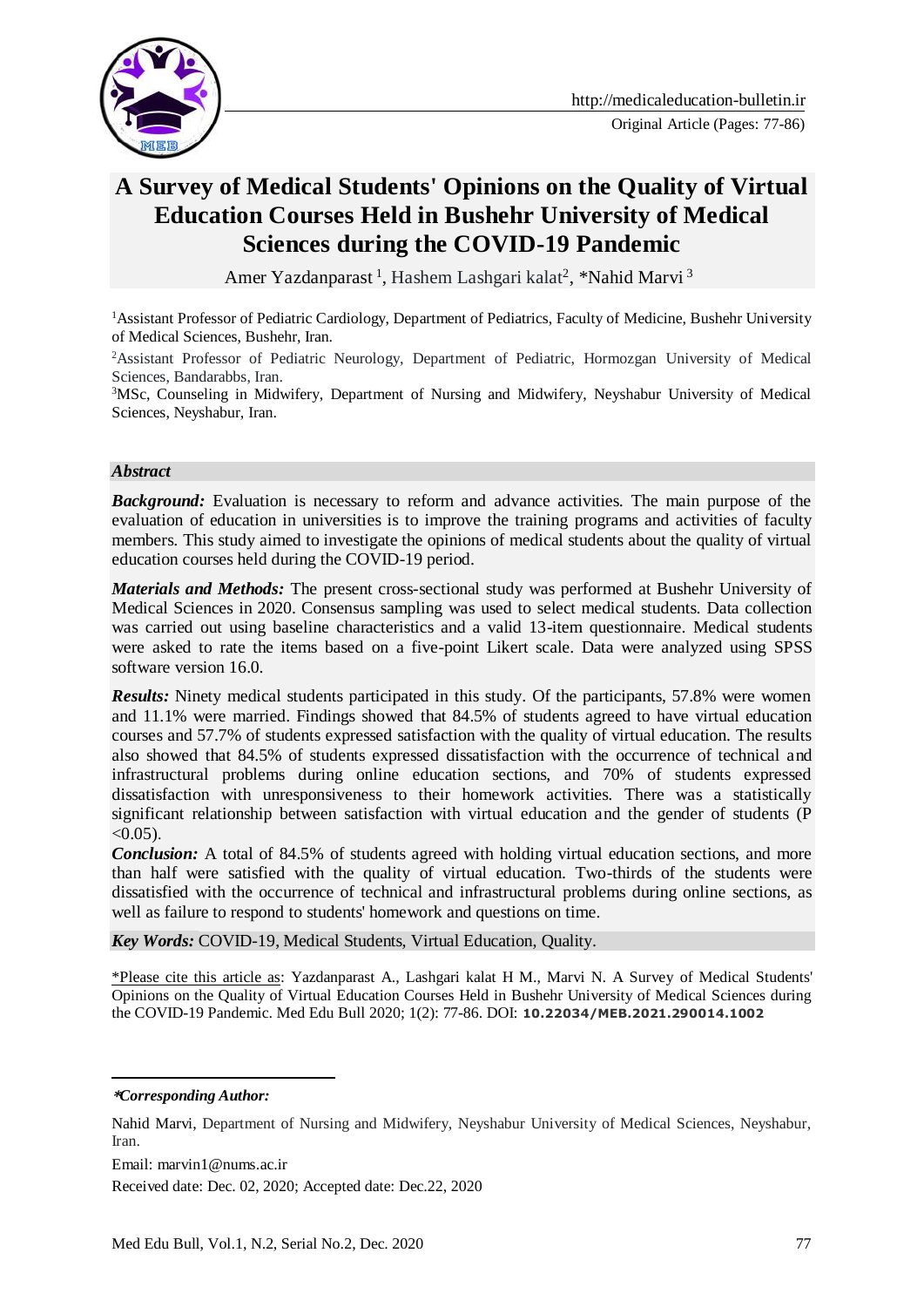

# **A Survey of Medical Students' Opinions on the Quality of Virtual Education Courses Held in Bushehr University of Medical Sciences during the COVID-19 Pandemic**

Amer Yazdanparast<sup>1</sup>, Hashem Lashgari kalat<sup>2</sup>, \*Nahid Marvi<sup>3</sup>

<sup>1</sup>Assistant Professor of Pediatric Cardiology, Department of Pediatrics, Faculty of Medicine, Bushehr University of Medical Sciences, Bushehr, Iran.

<sup>2</sup>Assistant Professor of Pediatric Neurology, Department of Pediatric, Hormozgan University of Medical Sciences, Bandarabbs, Iran.

<sup>3</sup>MSc, Counseling in Midwifery, Department of Nursing and Midwifery, Neyshabur University of Medical Sciences, Neyshabur, Iran.

#### *Abstract*

**Background:** Evaluation is necessary to reform and advance activities. The main purpose of the evaluation of education in universities is to improve the training programs and activities of faculty members. This study aimed to investigate the opinions of medical students about the quality of virtual education courses held during the COVID-19 period.

*Materials and Methods:* The present cross-sectional study was performed at Bushehr University of Medical Sciences in 2020. Consensus sampling was used to select medical students. Data collection was carried out using baseline characteristics and a valid 13-item questionnaire. Medical students were asked to rate the items based on a five-point Likert scale. Data were analyzed using SPSS software version 16.0.

*Results:* Ninety medical students participated in this study. Of the participants, 57.8% were women and 11.1% were married. Findings showed that 84.5% of students agreed to have virtual education courses and 57.7% of students expressed satisfaction with the quality of virtual education. The results also showed that 84.5% of students expressed dissatisfaction with the occurrence of technical and infrastructural problems during online education sections, and 70% of students expressed dissatisfaction with unresponsiveness to their homework activities. There was a statistically significant relationship between satisfaction with virtual education and the gender of students (P  $< 0.05$ ).

*Conclusion:* A total of 84.5% of students agreed with holding virtual education sections, and more than half were satisfied with the quality of virtual education. Two-thirds of the students were dissatisfied with the occurrence of technical and infrastructural problems during online sections, as well as failure to respond to students' homework and questions on time.

*Key Words:* COVID-19, Medical Students, Virtual Education, Quality.

\*Please cite this article as: Yazdanparast A., Lashgari kalat H M., Marvi N. A Survey of Medical Students' Opinions on the Quality of Virtual Education Courses Held in Bushehr University of Medical Sciences during the COVID-19 Pandemic. Med Edu Bull 2020; 1(2): 77-86. DOI: **10.22034/MEB.2021.290014.1002**

**\****Corresponding Author:*

<u>.</u>

Nahid Marvi, Department of Nursing and Midwifery, Neyshabur University of Medical Sciences, Neyshabur, Iran.

Email: marvin1@nums.ac.ir

Received date: Dec. 02, 2020; Accepted date: Dec.22, 2020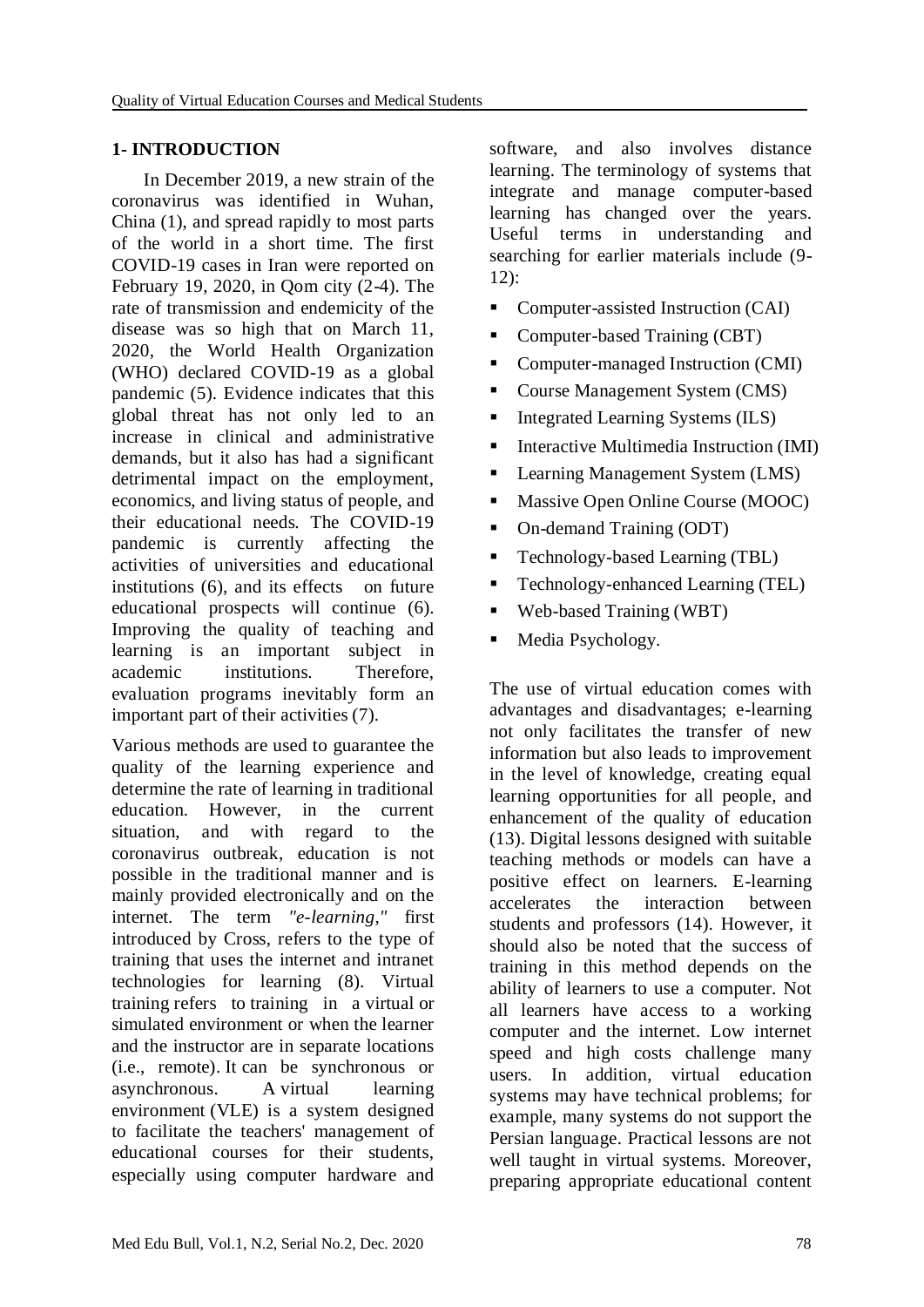# **1- INTRODUCTION**

 In December 2019, a new strain of the coronavirus was identified in Wuhan, China (1), and spread rapidly to most parts of the world in a short time. The first COVID-19 cases in Iran were reported on February 19, 2020, in Qom city (2-4). The rate of transmission and endemicity of the disease was so high that on March 11, 2020, the World Health Organization (WHO) declared COVID-19 as a global pandemic (5). Evidence indicates that this global threat has not only led to an increase in clinical and administrative demands, but it also has had a significant detrimental impact on the employment, economics, and living status of people, and their educational needs. The COVID-19 pandemic is currently affecting the activities of universities and educational institutions (6), and its effects on future educational prospects will continue (6). Improving the quality of teaching and learning is an important subject in academic institutions. Therefore, evaluation programs inevitably form an important part of their activities (7).

Various methods are used to guarantee the quality of the learning experience and determine the rate of learning in traditional education. However, in the current situation, and with regard to the coronavirus outbreak, education is not possible in the traditional manner and is mainly provided electronically and on the internet. The term *"e-learning*,*"* first introduced by Cross, refers to the type of training that uses the internet and intranet technologies for learning (8). Virtual training refers to training in a virtual or simulated environment or when the learner and the instructor are in separate locations (i.e., remote). It can be synchronous or asynchronous. A virtual learning environment (VLE) is a system designed to facilitate the teachers' management of educational courses for their students, especially using computer hardware and software, and also involves distance learning. The terminology of systems that integrate and manage computer-based learning has changed over the years. Useful terms in understanding and searching for earlier materials include (9- 12):

- Computer-assisted Instruction (CAI)
- Computer-based Training (CBT)
- Computer-managed Instruction (CMI)
- Course Management System (CMS)
- $\blacksquare$  Integrated Learning Systems (ILS)
- Interactive Multimedia Instruction (IMI)
- Learning Management System (LMS)
- **Massive Open Online Course (MOOC)**
- On-demand Training (ODT)
- Technology-based Learning (TBL)
- Technology-enhanced Learning (TEL)
- Web-based Training (WBT)
- Media Psychology.

The use of virtual education comes with advantages and disadvantages; e-learning not only facilitates the transfer of new information but also leads to improvement in the level of knowledge, creating equal learning opportunities for all people, and enhancement of the quality of education (13). Digital lessons designed with suitable teaching methods or models can have a positive effect on learners. E-learning accelerates the interaction between students and professors (14). However, it should also be noted that the success of training in this method depends on the ability of learners to use a computer. Not all learners have access to a working computer and the internet. Low internet speed and high costs challenge many users. In addition, virtual education systems may have technical problems; for example, many systems do not support the Persian language. Practical lessons are not well taught in virtual systems. Moreover, preparing appropriate educational content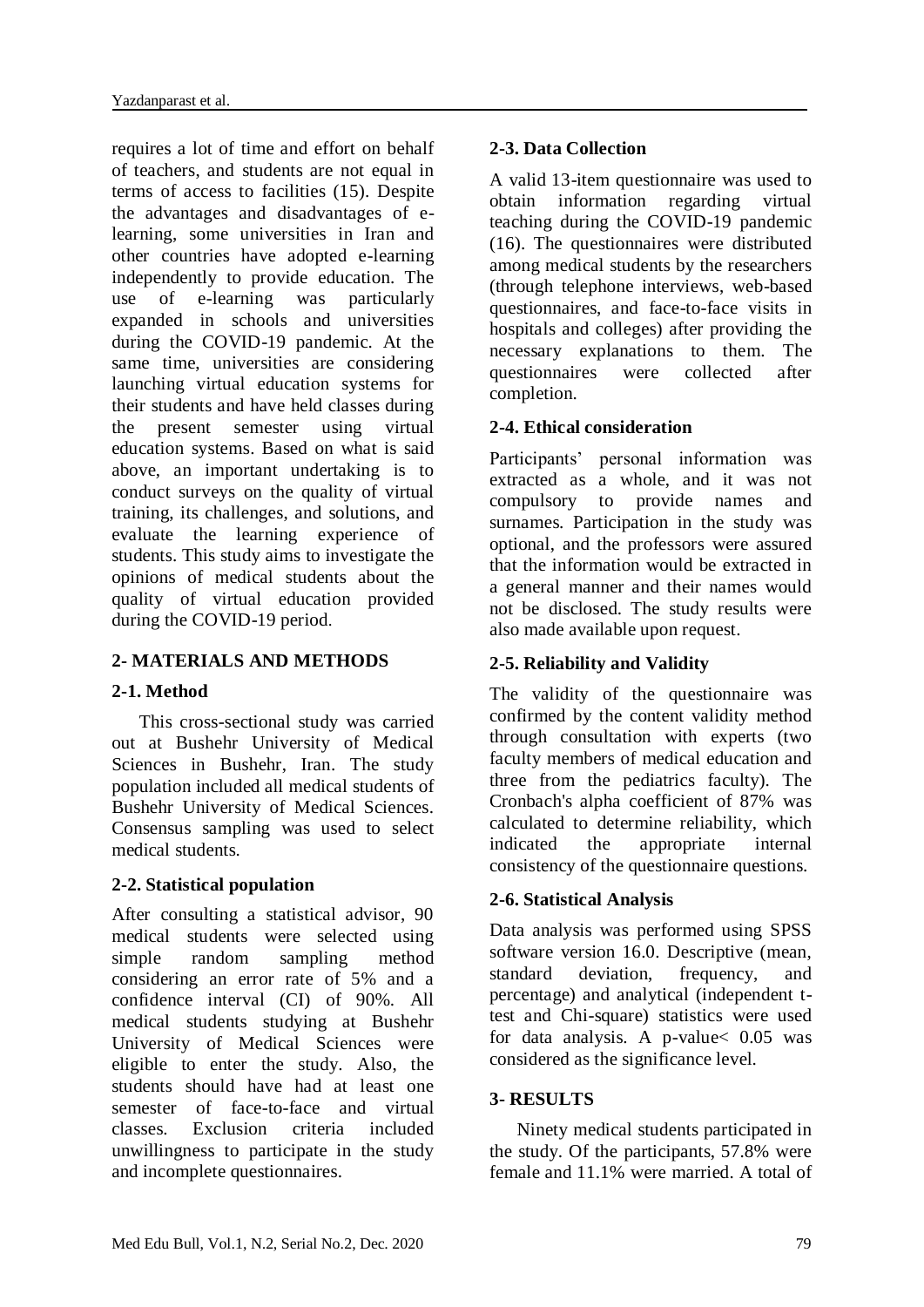requires a lot of time and effort on behalf of teachers, and students are not equal in terms of access to facilities (15). Despite the advantages and disadvantages of elearning, some universities in Iran and other countries have adopted e-learning independently to provide education. The use of e-learning was particularly expanded in schools and universities during the COVID-19 pandemic. At the same time, universities are considering launching virtual education systems for their students and have held classes during the present semester using virtual education systems. Based on what is said above, an important undertaking is to conduct surveys on the quality of virtual training, its challenges, and solutions, and evaluate the learning experience of students. This study aims to investigate the opinions of medical students about the quality of virtual education provided during the COVID-19 period.

# **2- MATERIALS AND METHODS**

### **2-1. Method**

 This cross-sectional study was carried out at Bushehr University of Medical Sciences in Bushehr, Iran. The study population included all medical students of Bushehr University of Medical Sciences. Consensus sampling was used to select medical students.

### **2-2. Statistical population**

After consulting a statistical advisor, 90 medical students were selected using simple random sampling method considering an error rate of 5% and a confidence interval (CI) of 90%. All medical students studying at Bushehr University of Medical Sciences were eligible to enter the study. Also, the students should have had at least one semester of face-to-face and virtual classes. Exclusion criteria included unwillingness to participate in the study and incomplete questionnaires.

# **2-3. Data Collection**

A valid 13-item questionnaire was used to obtain information regarding virtual teaching during the COVID-19 pandemic (16). The questionnaires were distributed among medical students by the researchers (through telephone interviews, web-based questionnaires, and face-to-face visits in hospitals and colleges) after providing the necessary explanations to them. The questionnaires were collected after completion.

# **2-4. Ethical consideration**

Participants' personal information was extracted as a whole, and it was not compulsory to provide names and surnames. Participation in the study was optional, and the professors were assured that the information would be extracted in a general manner and their names would not be disclosed. The study results were also made available upon request.

# **2-5. Reliability and Validity**

The validity of the questionnaire was confirmed by the content validity method through consultation with experts (two faculty members of medical education and three from the pediatrics faculty). The Cronbach's alpha coefficient of 87% was calculated to determine reliability, which indicated the appropriate internal consistency of the questionnaire questions.

### **2-6. Statistical Analysis**

Data analysis was performed using SPSS software version 16.0. Descriptive (mean, standard deviation, frequency, and percentage) and analytical (independent ttest and Chi-square) statistics were used for data analysis. A p-value< 0.05 was considered as the significance level.

### **3- RESULTS**

 Ninety medical students participated in the study. Of the participants, 57.8% were female and 11.1% were married. A total of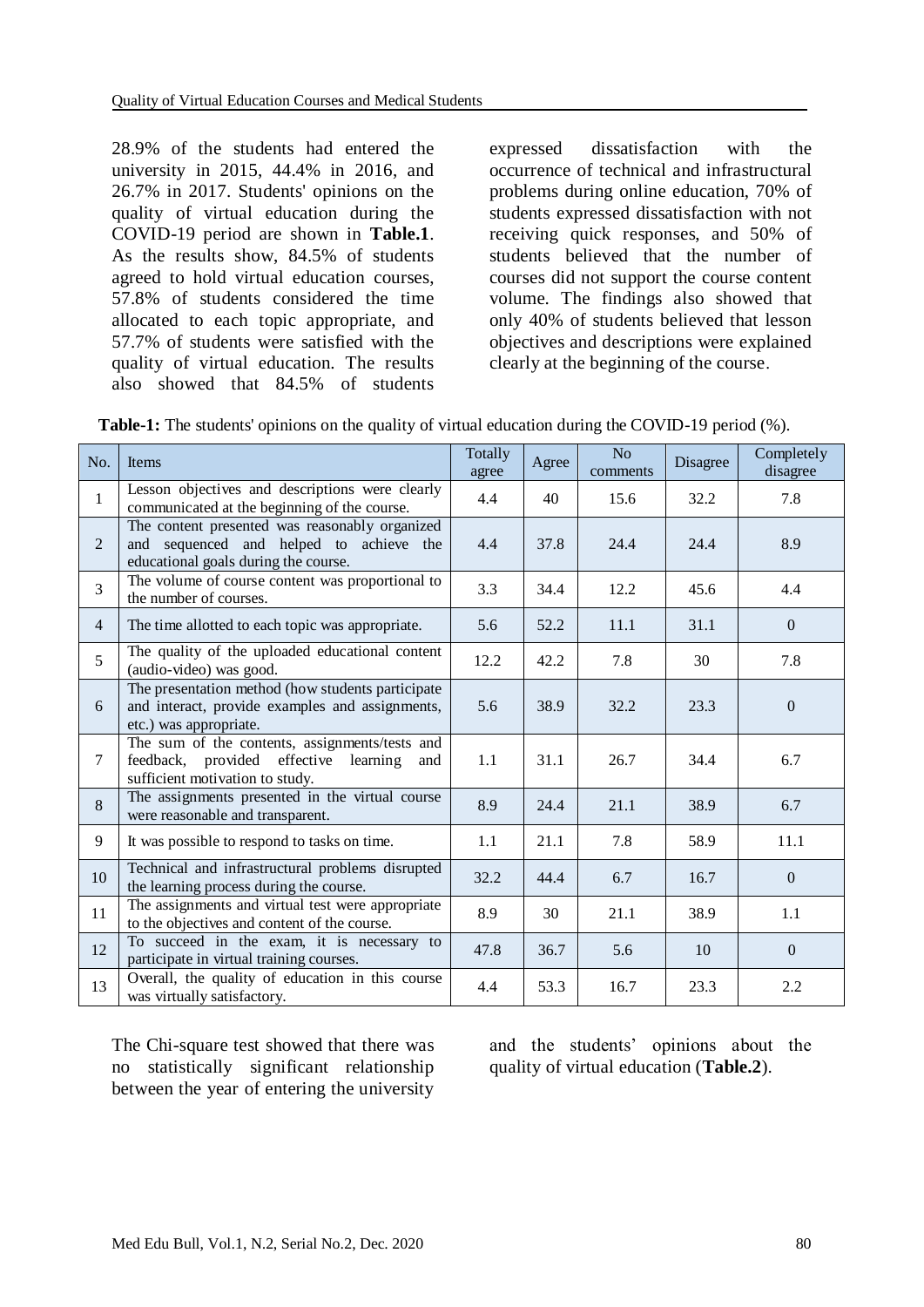28.9% of the students had entered the university in 2015, 44.4% in 2016, and 26.7% in 2017. Students' opinions on the quality of virtual education during the COVID-19 period are shown in **Table.1**. As the results show, 84.5% of students agreed to hold virtual education courses, 57.8% of students considered the time allocated to each topic appropriate, and 57.7% of students were satisfied with the quality of virtual education. The results also showed that 84.5% of students expressed dissatisfaction with the occurrence of technical and infrastructural problems during online education, 70% of students expressed dissatisfaction with not receiving quick responses, and 50% of students believed that the number of courses did not support the course content volume. The findings also showed that only 40% of students believed that lesson objectives and descriptions were explained clearly at the beginning of the course.

|  | <b>Table-1:</b> The students' opinions on the quality of virtual education during the COVID-19 period (%). |  |
|--|------------------------------------------------------------------------------------------------------------|--|
|  |                                                                                                            |  |

| No.            | Items                                                                                                                             | Totally<br>agree | Agree | No<br>comments | Disagree | Completely<br>disagree |
|----------------|-----------------------------------------------------------------------------------------------------------------------------------|------------------|-------|----------------|----------|------------------------|
| $\mathbf{1}$   | Lesson objectives and descriptions were clearly<br>communicated at the beginning of the course.                                   | 4.4              | 40    | 15.6           | 32.2     | 7.8                    |
| $\overline{2}$ | The content presented was reasonably organized<br>and sequenced and helped to achieve the<br>educational goals during the course. | 4.4              | 37.8  | 24.4           | 24.4     | 8.9                    |
| 3              | The volume of course content was proportional to<br>the number of courses.                                                        | 3.3              | 34.4  | 12.2           | 45.6     | 4.4                    |
| $\overline{4}$ | The time allotted to each topic was appropriate.                                                                                  | 5.6              | 52.2  | 11.1           | 31.1     | $\theta$               |
| 5              | The quality of the uploaded educational content<br>(audio-video) was good.                                                        | 12.2             | 42.2  | 7.8            | 30       | 7.8                    |
| 6              | The presentation method (how students participate<br>and interact, provide examples and assignments,<br>etc.) was appropriate.    | 5.6              | 38.9  | 32.2           | 23.3     | $\mathbf{0}$           |
| 7              | The sum of the contents, assignments/tests and<br>feedback, provided effective learning<br>and<br>sufficient motivation to study. | 1.1              | 31.1  | 26.7           | 34.4     | 6.7                    |
| 8              | The assignments presented in the virtual course<br>were reasonable and transparent.                                               | 8.9              | 24.4  | 21.1           | 38.9     | 6.7                    |
| 9              | It was possible to respond to tasks on time.                                                                                      | 1.1              | 21.1  | 7.8            | 58.9     | 11.1                   |
| 10             | Technical and infrastructural problems disrupted<br>the learning process during the course.                                       | 32.2             | 44.4  | 6.7            | 16.7     | $\overline{0}$         |
| 11             | The assignments and virtual test were appropriate<br>to the objectives and content of the course.                                 | 8.9              | 30    | 21.1           | 38.9     | 1.1                    |
| 12             | To succeed in the exam, it is necessary to<br>participate in virtual training courses.                                            | 47.8             | 36.7  | 5.6            | 10       | $\Omega$               |
| 13             | Overall, the quality of education in this course<br>was virtually satisfactory.                                                   | 4.4              | 53.3  | 16.7           | 23.3     | 2.2                    |

The Chi-square test showed that there was no statistically significant relationship between the year of entering the university

and the students' opinions about the quality of virtual education (**Table.2**).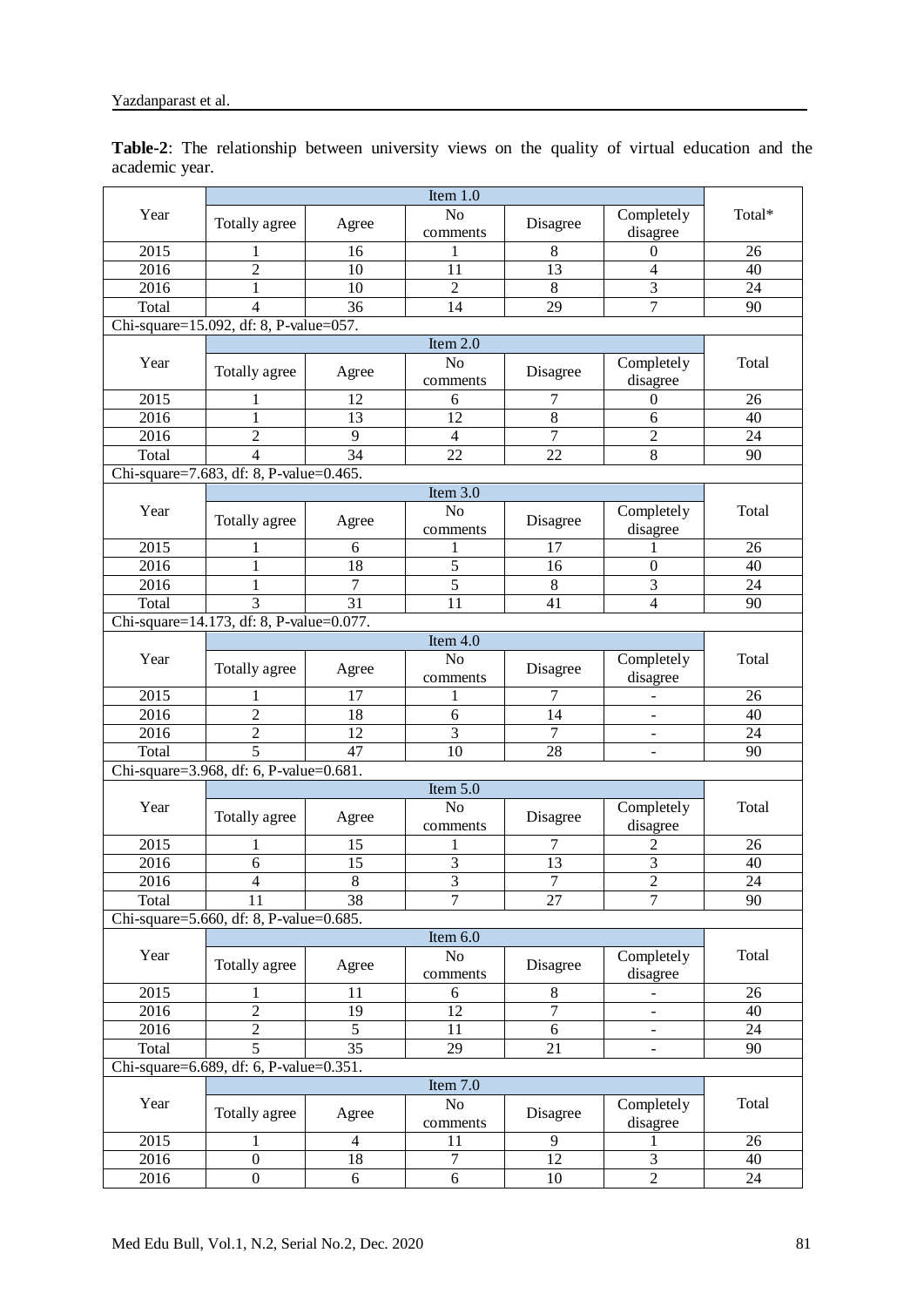**Table-2**: The relationship between university views on the quality of virtual education and the academic year.

| Item $1.0$                              |                                          |                 |                            |                |                         |                 |  |  |
|-----------------------------------------|------------------------------------------|-----------------|----------------------------|----------------|-------------------------|-----------------|--|--|
| Year                                    | Totally agree                            | Agree           | No<br>comments             | Disagree       | Completely<br>disagree  | Total*          |  |  |
| 2015                                    | 1                                        | 16              | 1                          | 8              | 0                       | 26              |  |  |
| 2016                                    | $\overline{2}$                           | 10              | 11                         | 13             | 4                       | 40              |  |  |
| 2016                                    | 1                                        | 10              | $\overline{2}$             | 8              | 3                       | 24              |  |  |
| Total                                   | $\overline{4}$                           | 36              | 14                         | 29             | $\overline{7}$          | 90              |  |  |
|                                         | Chi-square=15.092, df: 8, P-value=057.   |                 |                            |                |                         |                 |  |  |
|                                         |                                          |                 | Item $2.0$                 |                |                         |                 |  |  |
| Year                                    | Totally agree                            | Agree           | No<br>comments             | Disagree       | Completely<br>disagree  | Total           |  |  |
| 2015                                    | 1                                        | 12              | 6                          | 7              | $\mathbf{0}$            | 26              |  |  |
| 2016                                    | 1                                        | 13              | 12                         | 8              | 6                       | 40              |  |  |
| 2016                                    | $\sqrt{2}$                               | 9               | $\overline{4}$             | $\tau$         | $\overline{c}$          | 24              |  |  |
| Total                                   | $\overline{4}$                           | 34              | 22                         | 22             | 8                       | 90              |  |  |
|                                         | Chi-square=7.683, df: 8, P-value=0.465.  |                 |                            |                |                         |                 |  |  |
|                                         |                                          |                 | Item $3.0$                 |                |                         |                 |  |  |
| Year                                    | Totally agree                            | Agree           | No<br>comments             | Disagree       | Completely<br>disagree  | Total           |  |  |
| 2015                                    | 1                                        | 6               | 1                          | 17             | 1                       | 26              |  |  |
| 2016                                    | 1                                        | 18              | 5                          | 16             | $\overline{0}$          | 40              |  |  |
| 2016                                    | 1                                        | 7               | $\overline{5}$             | 8              | 3                       | 24              |  |  |
| Total                                   | 3                                        | 31              | 11                         | 41             | $\overline{4}$          | 90              |  |  |
|                                         | Chi-square=14.173, df: 8, P-value=0.077. |                 |                            |                |                         |                 |  |  |
|                                         |                                          |                 | Item $4.0$                 |                |                         |                 |  |  |
| Year                                    | Totally agree                            | Agree           | N <sub>o</sub><br>comments | Disagree       | Completely<br>disagree  | Total           |  |  |
| 2015                                    | 1                                        | 17              | 1                          | 7              |                         | 26              |  |  |
| 2016                                    | $\overline{2}$                           | 18              | 6                          | 14             |                         | 40              |  |  |
| 2016                                    | $\overline{c}$                           | 12              | $\overline{3}$             | $\overline{7}$ | $\blacksquare$          | 24              |  |  |
| Total                                   | 5                                        | 47              | 10                         | 28             | $\blacksquare$          | 90              |  |  |
| Chi-square=3.968, df: 6, P-value=0.681. |                                          |                 |                            |                |                         |                 |  |  |
| Item $5.0$                              |                                          |                 |                            |                |                         |                 |  |  |
| Year                                    | Totally agree                            | Agree           | N <sub>o</sub><br>comments | Disagree       | Completely<br>disagree  | Total           |  |  |
| 2015                                    | 1                                        | 15              | 1                          | 7              | 2                       | 26              |  |  |
| 2016                                    | 6                                        | 15              | 3                          | 13             | $\overline{\mathbf{3}}$ | 40              |  |  |
| 2016                                    | $\overline{4}$                           | $\overline{8}$  | $\overline{3}$             | $\overline{7}$ | $\overline{2}$          | $\overline{24}$ |  |  |
| Total                                   | 11                                       | 38              | 7                          | 27             | $\tau$                  | 90              |  |  |
|                                         | Chi-square=5.660, df: 8, P-value=0.685.  |                 |                            |                |                         |                 |  |  |
|                                         |                                          |                 | Item $6.0$                 |                |                         |                 |  |  |
| Year                                    | Totally agree                            | Agree           | $\rm No$<br>comments       | Disagree       | Completely<br>disagree  | Total           |  |  |
| 2015                                    | $\mathbf{1}$                             | 11              | $\sqrt{6}$                 | 8              |                         | 26              |  |  |
| 2016                                    | $\overline{2}$                           | $\overline{19}$ | 12                         | $\overline{7}$ |                         | 40              |  |  |
| 2016                                    | $\overline{2}$                           | $\overline{5}$  | 11                         | 6              |                         | 24              |  |  |
| Total                                   | 5                                        | 35              | 29                         | 21             |                         | 90              |  |  |
|                                         | Chi-square=6.689, df: 6, P-value=0.351.  |                 |                            |                |                         |                 |  |  |
| Item 7.0                                |                                          |                 |                            |                |                         |                 |  |  |
| Year                                    | Totally agree                            | Agree           | No<br>comments             | Disagree       | Completely<br>disagree  | Total           |  |  |
| 2015                                    | $\mathbf{1}$                             | $\overline{4}$  | 11                         | 9              | 1                       | 26              |  |  |
| 2016                                    | $\mathbf{0}$                             | 18              | $\tau$                     | 12             | $\overline{3}$          | 40              |  |  |
| 2016                                    | $\boldsymbol{0}$                         | 6               | 6                          | $10\,$         | $\overline{2}$          | 24              |  |  |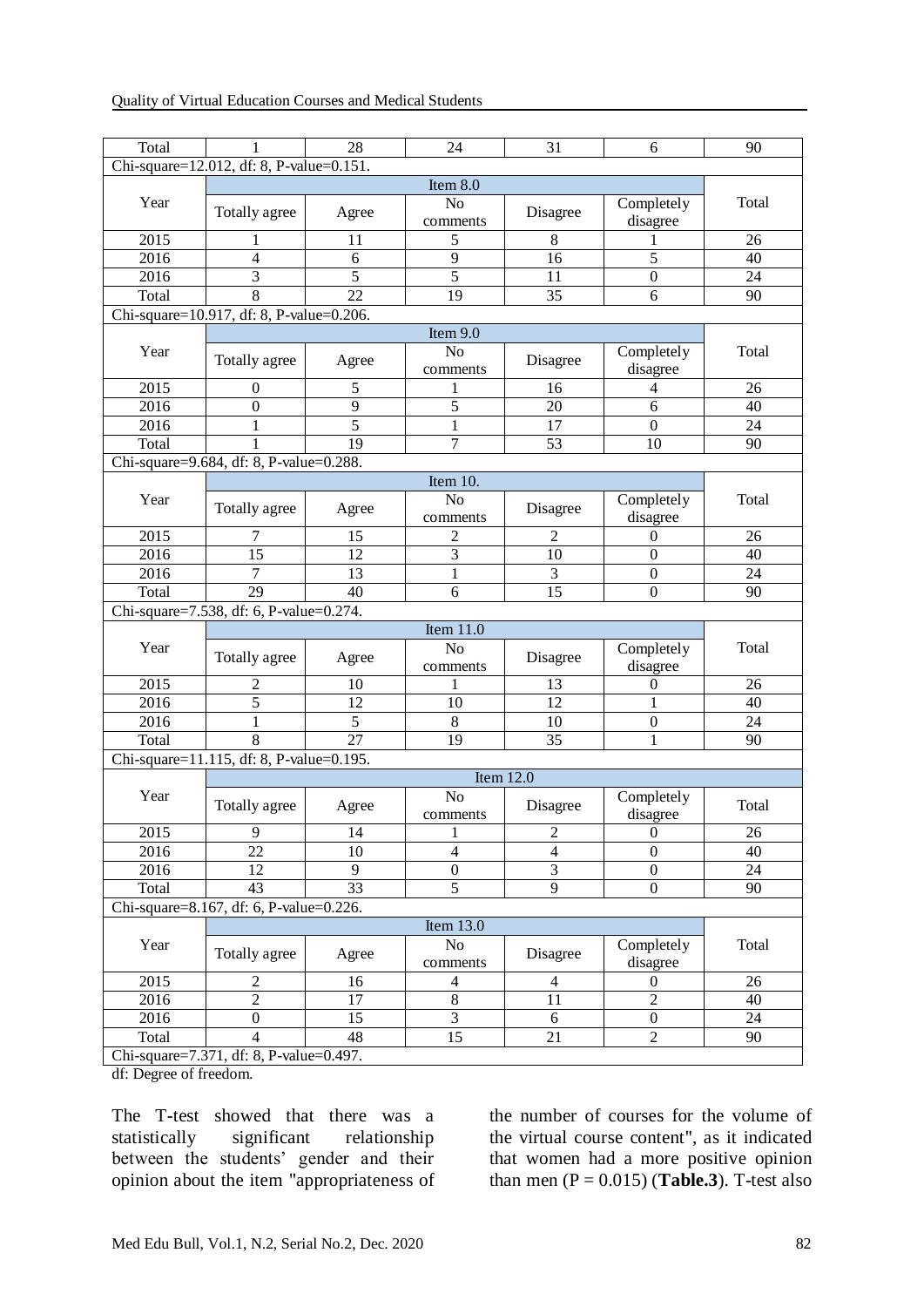| Total                                    | 1                                        | 28              | 24                        | 31             | 6                | 90    |  |  |  |
|------------------------------------------|------------------------------------------|-----------------|---------------------------|----------------|------------------|-------|--|--|--|
| Chi-square=12.012, df: 8, P-value=0.151. |                                          |                 |                           |                |                  |       |  |  |  |
| Item 8.0                                 |                                          |                 |                           |                |                  |       |  |  |  |
| Year                                     | Totally agree                            | Agree           | N <sub>o</sub>            | Disagree       | Completely       | Total |  |  |  |
|                                          |                                          |                 | comments                  |                | disagree         |       |  |  |  |
| 2015                                     | 1                                        | 11              | 5                         | 8              | 1                | 26    |  |  |  |
| 2016                                     | 4                                        | 6               | 9                         | 16             | 5                | 40    |  |  |  |
| 2016                                     | 3                                        | 5               | 5                         | 11             | $\boldsymbol{0}$ | 24    |  |  |  |
| Total                                    | 8                                        | 22              | 19                        | 35             | 6                | 90    |  |  |  |
| Chi-square=10.917, df: 8, P-value=0.206. |                                          |                 |                           |                |                  |       |  |  |  |
|                                          | Item 9.0                                 |                 |                           |                |                  |       |  |  |  |
| Year                                     |                                          |                 | No                        |                | Completely       | Total |  |  |  |
|                                          | Totally agree                            | Agree           | comments                  | Disagree       | disagree         |       |  |  |  |
| 2015                                     | $\mathbf{0}$                             | 5               | 1                         | 16             | 4                | 26    |  |  |  |
| 2016                                     | $\boldsymbol{0}$                         | 9               | 5                         | 20             | 6                | 40    |  |  |  |
| 2016                                     | 1                                        | $\overline{5}$  | 1                         | 17             | $\mathbf{0}$     | 24    |  |  |  |
| Total                                    | 1                                        | 19              | 7                         | 53             | 10               | 90    |  |  |  |
|                                          | Chi-square=9.684, df: 8, P-value=0.288.  |                 |                           |                |                  |       |  |  |  |
|                                          |                                          |                 | Item 10.                  |                |                  |       |  |  |  |
| Year                                     |                                          |                 | No                        |                | Completely       | Total |  |  |  |
|                                          | Totally agree                            | Agree           | comments                  | Disagree       | disagree         |       |  |  |  |
| 2015                                     | 7                                        | 15              | 2                         | 2              | 0                | 26    |  |  |  |
| 2016                                     | 15                                       | 12              | 3                         | 10             | $\boldsymbol{0}$ | 40    |  |  |  |
| 2016                                     | 7                                        | 13              | 1                         | 3              | $\theta$         | 24    |  |  |  |
| Total                                    | 29                                       | 40              | 6                         | 15             | $\boldsymbol{0}$ | 90    |  |  |  |
| Chi-square=7.538, df: 6, P-value=0.274.  |                                          |                 |                           |                |                  |       |  |  |  |
| Item $11.0$                              |                                          |                 |                           |                |                  |       |  |  |  |
| Year                                     |                                          |                 | No                        |                | Completely       | Total |  |  |  |
|                                          | Totally agree                            | Agree           | comments                  | Disagree       | disagree         |       |  |  |  |
| 2015                                     | 2                                        | 10              | 1                         | 13             | 0                | 26    |  |  |  |
| 2016                                     | 5                                        | 12              | 10                        | 12             | 1                | 40    |  |  |  |
| 2016                                     | $\mathbf{1}$                             | 5               | $\,8\,$                   | 10             | $\boldsymbol{0}$ | 24    |  |  |  |
| Total                                    | 8                                        | 27              | 19                        | 35             | 1                | 90    |  |  |  |
|                                          | Chi-square=11.115, df: 8, P-value=0.195. |                 |                           |                |                  |       |  |  |  |
|                                          |                                          |                 | Item $12.0$               |                |                  |       |  |  |  |
| Year                                     |                                          |                 | No                        |                | Completely       |       |  |  |  |
|                                          | Totally agree                            | Agree           | comments                  | Disagree       | disagree         | Total |  |  |  |
| 2015                                     | 9.                                       | 14              | $\mathbf{I}$              | $\mathbf{z}$   | $\mathbf{0}$     | 26    |  |  |  |
| 2016                                     | 22                                       | 10              | $\overline{4}$            | $\overline{4}$ | $\boldsymbol{0}$ | 40    |  |  |  |
| 2016                                     | 12                                       | 9               | $\boldsymbol{0}$          | $\overline{3}$ | $\boldsymbol{0}$ | 24    |  |  |  |
| Total                                    | 43                                       | $\overline{33}$ | 5                         | $\overline{9}$ | $\boldsymbol{0}$ | 90    |  |  |  |
|                                          | Chi-square=8.167, df: 6, P-value=0.226.  |                 |                           |                |                  |       |  |  |  |
|                                          |                                          | Item 13.0       |                           |                |                  |       |  |  |  |
| Year                                     |                                          |                 | $\rm No$                  |                | Completely       | Total |  |  |  |
|                                          | Totally agree                            | Agree           | comments                  | Disagree       | disagree         |       |  |  |  |
|                                          |                                          |                 |                           |                |                  |       |  |  |  |
|                                          |                                          |                 |                           | 4              | $\boldsymbol{0}$ | 26    |  |  |  |
| 2015<br>2016                             | $\mathbf{2}$<br>$\sqrt{2}$               | 16<br>17        | $\overline{4}$<br>$\,8\,$ | 11             | $\overline{2}$   | 40    |  |  |  |
|                                          | $\boldsymbol{0}$                         | 15              | $\overline{3}$            | 6              | $\boldsymbol{0}$ | 24    |  |  |  |
| 2016<br>Total                            | 4                                        | 48              | 15                        | 21             | $\sqrt{2}$       | 90    |  |  |  |

df: Degree of freedom.

The T-test showed that there was a statistically significant relationship between the students' gender and their opinion about the item "appropriateness of the number of courses for the volume of the virtual course content", as it indicated that women had a more positive opinion than men  $(P = 0.015)$  (**Table.3**). T-test also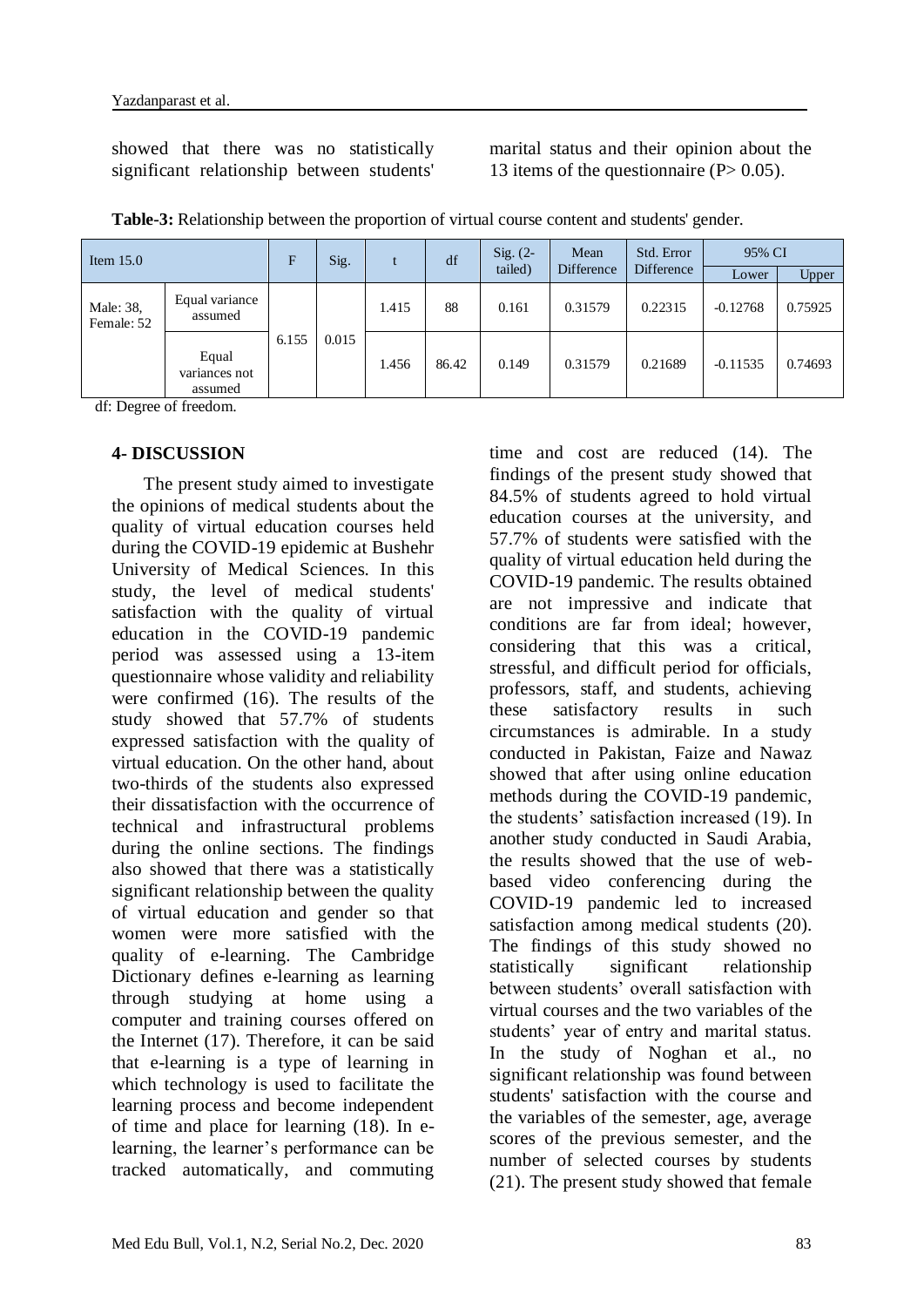showed that there was no statistically significant relationship between students' marital status and their opinion about the 13 items of the questionnaire  $(P> 0.05)$ .

| Item $15.0$             |                                   | F<br>Sig. |       |       | df    | $Sig. (2-$<br>tailed) | Mean<br>Difference | Std. Error<br><b>Difference</b> | 95% CI     |         |
|-------------------------|-----------------------------------|-----------|-------|-------|-------|-----------------------|--------------------|---------------------------------|------------|---------|
|                         |                                   |           |       |       |       |                       |                    |                                 | Lower      | Upper   |
| Male: 38,<br>Female: 52 | Equal variance<br>assumed         |           | 1.415 | 88    | 0.161 | 0.31579               | 0.22315            | $-0.12768$                      | 0.75925    |         |
|                         | Equal<br>variances not<br>assumed | 6.155     | 0.015 | 1.456 | 86.42 | 0.149                 | 0.31579            | 0.21689                         | $-0.11535$ | 0.74693 |

**Table-3:** Relationship between the proportion of virtual course content and students' gender.

df: Degree of freedom.

#### **4- DISCUSSION**

 The present study aimed to investigate the opinions of medical students about the quality of virtual education courses held during the COVID-19 epidemic at Bushehr University of Medical Sciences. In this study, the level of medical students' satisfaction with the quality of virtual education in the COVID-19 pandemic period was assessed using a 13-item questionnaire whose validity and reliability were confirmed (16). The results of the study showed that 57.7% of students expressed satisfaction with the quality of virtual education. On the other hand, about two-thirds of the students also expressed their dissatisfaction with the occurrence of technical and infrastructural problems during the online sections. The findings also showed that there was a statistically significant relationship between the quality of virtual education and gender so that women were more satisfied with the quality of e-learning. The Cambridge Dictionary defines e-learning as learning through studying at home using a computer and training courses offered on the Internet (17). Therefore, it can be said that e-learning is a type of learning in which technology is used to facilitate the learning process and become independent of time and place for learning (18). In elearning, the learner's performance can be tracked automatically, and commuting

time and cost are reduced (14). The findings of the present study showed that 84.5% of students agreed to hold virtual education courses at the university, and 57.7% of students were satisfied with the quality of virtual education held during the COVID-19 pandemic. The results obtained are not impressive and indicate that conditions are far from ideal; however, considering that this was a critical, stressful, and difficult period for officials, professors, staff, and students, achieving these satisfactory results in such circumstances is admirable. In a study conducted in Pakistan, Faize and Nawaz showed that after using online education methods during the COVID-19 pandemic, the students' satisfaction increased (19). In another study conducted in Saudi Arabia, the results showed that the use of webbased video conferencing during the COVID-19 pandemic led to increased satisfaction among medical students (20). The findings of this study showed no statistically significant relationship between students' overall satisfaction with virtual courses and the two variables of the students' year of entry and marital status. In the study of Noghan et al., no significant relationship was found between students' satisfaction with the course and the variables of the semester, age, average scores of the previous semester, and the number of selected courses by students (21). The present study showed that female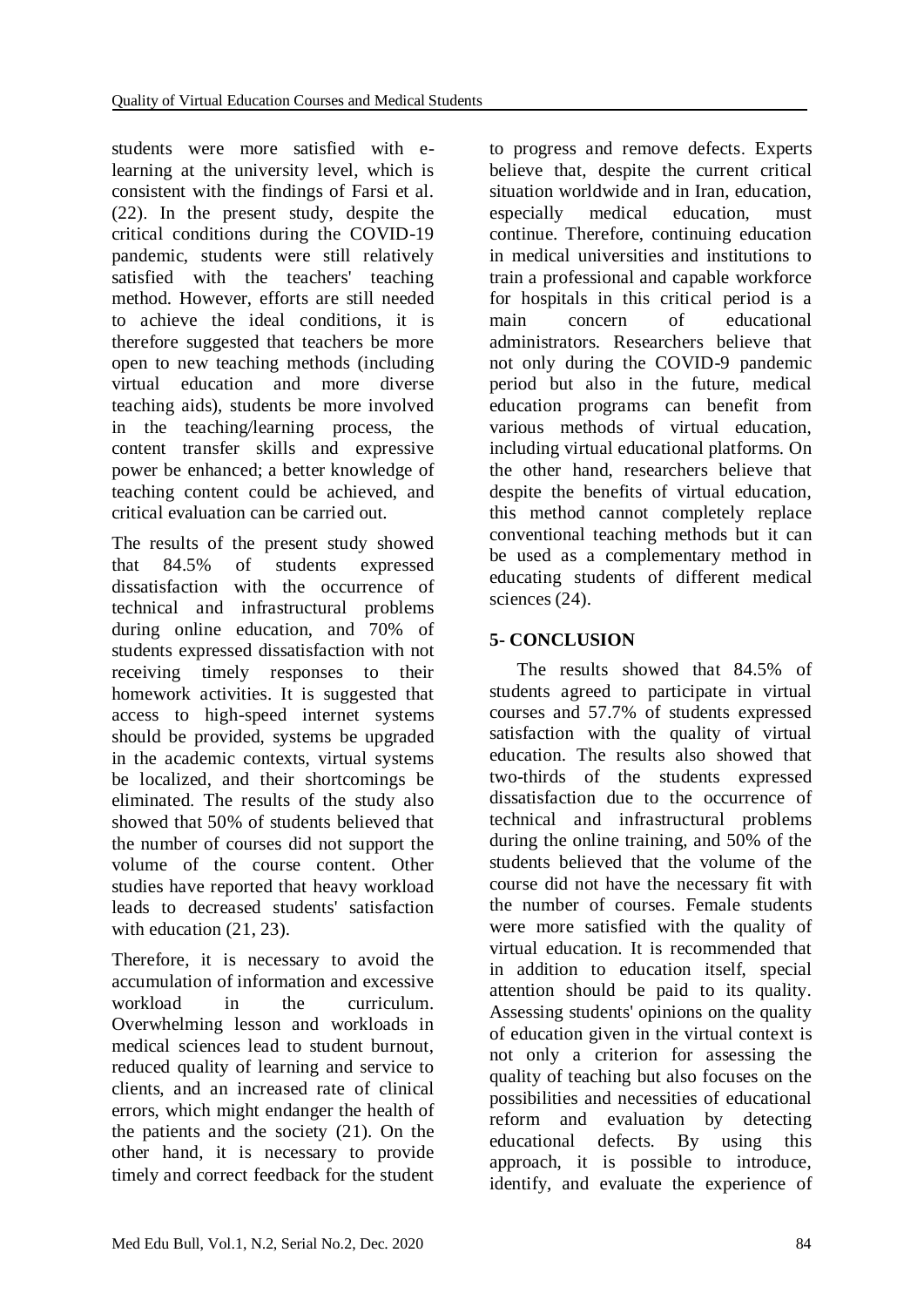students were more satisfied with elearning at the university level, which is consistent with the findings of Farsi et al. (22). In the present study, despite the critical conditions during the COVID-19 pandemic, students were still relatively satisfied with the teachers' teaching method. However, efforts are still needed to achieve the ideal conditions, it is therefore suggested that teachers be more open to new teaching methods (including virtual education and more diverse teaching aids), students be more involved in the teaching/learning process, the content transfer skills and expressive power be enhanced; a better knowledge of teaching content could be achieved, and critical evaluation can be carried out.

The results of the present study showed that 84.5% of students expressed dissatisfaction with the occurrence of technical and infrastructural problems during online education, and 70% of students expressed dissatisfaction with not receiving timely responses to their homework activities. It is suggested that access to high-speed internet systems should be provided, systems be upgraded in the academic contexts, virtual systems be localized, and their shortcomings be eliminated. The results of the study also showed that 50% of students believed that the number of courses did not support the volume of the course content. Other studies have reported that heavy workload leads to decreased students' satisfaction with education (21, 23).

Therefore, it is necessary to avoid the accumulation of information and excessive workload in the curriculum. Overwhelming lesson and workloads in medical sciences lead to student burnout, reduced quality of learning and service to clients, and an increased rate of clinical errors, which might endanger the health of the patients and the society (21). On the other hand, it is necessary to provide timely and correct feedback for the student

to progress and remove defects. Experts believe that, despite the current critical situation worldwide and in Iran, education, especially medical education, must continue. Therefore, continuing education in medical universities and institutions to train a professional and capable workforce for hospitals in this critical period is a main concern of educational administrators. Researchers believe that not only during the COVID-9 pandemic period but also in the future, medical education programs can benefit from various methods of virtual education, including virtual educational platforms. On the other hand, researchers believe that despite the benefits of virtual education, this method cannot completely replace conventional teaching methods but it can be used as a complementary method in educating students of different medical sciences (24).

# **5- CONCLUSION**

 The results showed that 84.5% of students agreed to participate in virtual courses and 57.7% of students expressed satisfaction with the quality of virtual education. The results also showed that two-thirds of the students expressed dissatisfaction due to the occurrence of technical and infrastructural problems during the online training, and 50% of the students believed that the volume of the course did not have the necessary fit with the number of courses. Female students were more satisfied with the quality of virtual education. It is recommended that in addition to education itself, special attention should be paid to its quality. Assessing students' opinions on the quality of education given in the virtual context is not only a criterion for assessing the quality of teaching but also focuses on the possibilities and necessities of educational reform and evaluation by detecting educational defects. By using this approach, it is possible to introduce, identify, and evaluate the experience of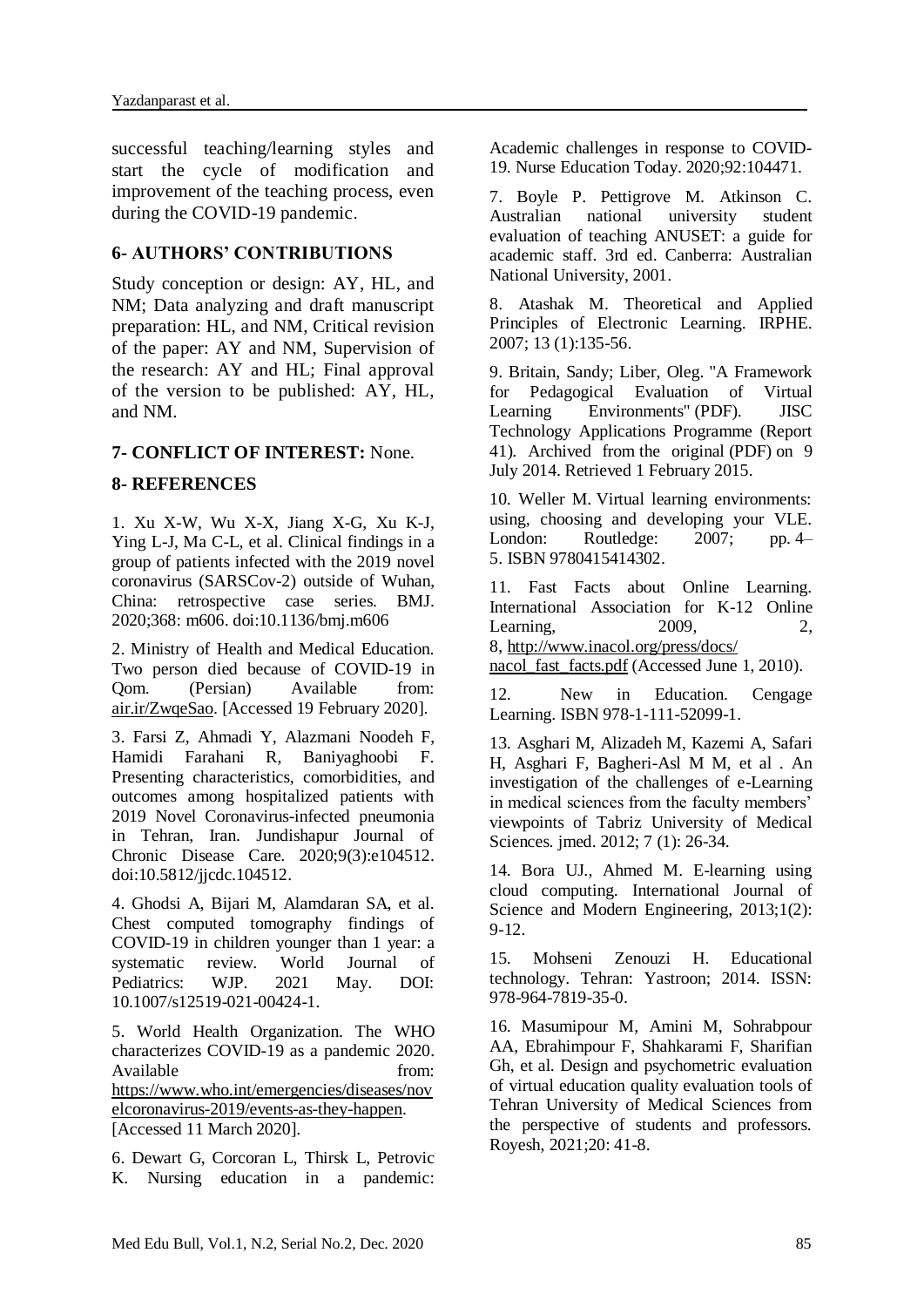successful teaching/learning styles and start the cycle of modification and improvement of the teaching process, even during the COVID-19 pandemic.

## **6- AUTHORS' CONTRIBUTIONS**

Study conception or design: AY, HL, and NM; Data analyzing and draft manuscript preparation: HL, and NM, Critical revision of the paper: AY and NM, Supervision of the research: AY and HL; Final approval of the version to be published: AY, HL, and NM.

### **7- CONFLICT OF INTEREST:** None.

### **8- REFERENCES**

1. Xu X-W, Wu X-X, Jiang X-G, Xu K-J, Ying L-J, Ma C-L, et al. Clinical findings in a group of patients infected with the 2019 novel coronavirus (SARSCov-2) outside of Wuhan, China: retrospective case series. BMJ. 2020;368: m606. doi:10.1136/bmj.m606

2. Ministry of Health and Medical Education. Two person died because of COVID-19 in Qom. (Persian) Available from: air.ir/ZwqeSao. [Accessed 19 February 2020].

3. Farsi Z, Ahmadi Y, Alazmani Noodeh F, Hamidi Farahani R, Baniyaghoobi F. Presenting characteristics, comorbidities, and outcomes among hospitalized patients with 2019 Novel Coronavirus-infected pneumonia in Tehran, Iran. Jundishapur Journal of Chronic Disease Care. 2020;9(3):e104512. doi:10.5812/jjcdc.104512.

4. Ghodsi A, Bijari M, Alamdaran SA, et al. Chest computed tomography findings of COVID-19 in children younger than 1 year: a systematic review. World Journal of Pediatrics: WJP. 2021 May. DOI: 10.1007/s12519-021-00424-1.

5. World Health Organization. The WHO characterizes COVID-19 as a pandemic 2020. Available from: https://www.who.int/emergencies/diseases/nov elcoronavirus-2019/events-as-they-happen. [Accessed 11 March 2020].

6. Dewart G, Corcoran L, Thirsk L, Petrovic K. Nursing education in a pandemic: Academic challenges in response to COVID-19. Nurse Education Today. 2020;92:104471.

7. Boyle P. Pettigrove M. Atkinson C. Australian national university student evaluation of teaching ANUSET: a guide for academic staff. 3rd ed. Canberra: Australian National University, 2001.

8. Atashak M. Theoretical and Applied Principles of Electronic Learning. IRPHE. 2007; 13 (1):135-56.

9. Britain, Sandy; Liber, Oleg. ["A Framework](https://web.archive.org/web/20140709094115/http:/www.jisc.ac.uk/media/documents/programmes/jtap/jtap-041.pdf)  [for Pedagogical Evaluation of Virtual](https://web.archive.org/web/20140709094115/http:/www.jisc.ac.uk/media/documents/programmes/jtap/jtap-041.pdf)  [Learning Environments"](https://web.archive.org/web/20140709094115/http:/www.jisc.ac.uk/media/documents/programmes/jtap/jtap-041.pdf) (PDF). JISC Technology Applications Programme (Report 41). Archived from [the original](http://www.jisc.ac.uk/media/documents/programmes/jtap/jtap-041.pdf) (PDF) on 9 July 2014. Retrieved 1 February 2015.

10. Weller M. Virtual learning environments: using, choosing and developing your VLE. London: Routledge: 2007; pp. 4– 5. [ISBN](https://en.wikipedia.org/wiki/ISBN_(identifier)) [9780415414302.](https://en.wikipedia.org/wiki/Special:BookSources/9780415414302)

11. Fast Facts about Online Learning. International Association for K-12 Online Learning, 2009, 2, 8, http://www.inacol.org/press/docs/

nacol\_fast\_facts.pdf (Accessed June 1, 2010).

12. New in Education. Cengage Learning. [ISBN](https://fa.wikipedia.org/wiki/%D8%B4%D9%85%D8%A7%D8%B1%D9%87_%D8%A7%D8%B3%D8%AA%D8%A7%D9%86%D8%AF%D8%A7%D8%B1%D8%AF_%D8%A8%DB%8C%D9%86%E2%80%8C%D8%A7%D9%84%D9%85%D9%84%D9%84%DB%8C_%DA%A9%D8%AA%D8%A7%D8%A8) [978-1-111-52099-1.](https://fa.wikipedia.org/wiki/%D9%88%DB%8C%DA%98%D9%87:%D9%85%D9%86%D8%A7%D8%A8%D8%B9_%DA%A9%D8%AA%D8%A7%D8%A8/978-1-111-52099-1)

13. Asghari M, Alizadeh M, Kazemi A, Safari H, Asghari F, Bagheri-Asl M M, et al . An investigation of the challenges of e-Learning in medical sciences from the faculty members' viewpoints of Tabriz University of Medical Sciences. jmed. 2012; 7 (1): 26-34.

14. Bora UJ., Ahmed M. E-learning using cloud computing. International Journal of Science and Modern Engineering, 2013;1(2): 9-12.

15. Mohseni Zenouzi H. Educational technology. Tehran: Yastroon; 2014. ISSN: 978-964-7819-35-0.

16. Masumipour M, Amini M, Sohrabpour AA, Ebrahimpour F, Shahkarami F, Sharifian Gh, et al. Design and psychometric evaluation of virtual education quality evaluation tools of Tehran University of Medical Sciences from the perspective of students and professors. Royesh, 2021;20: 41-8.